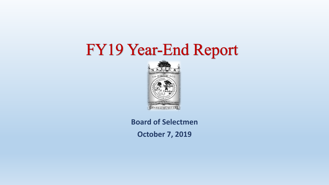# FY19 Year-End Report



### **Board of Selectmen**

**October 7, 2019**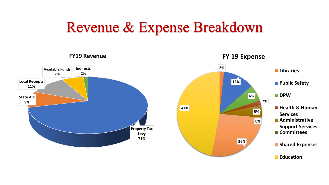## Revenue & Expense Breakdown

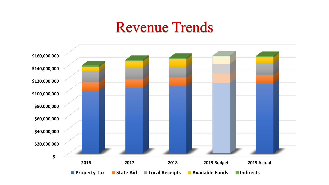### **Revenue Trends**

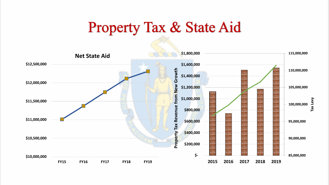## **Property Tax & State Aid**

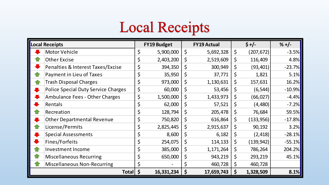# **Local Receipts**

| <b>Local Receipts</b> |                                            | <b>FY19 Budget</b> |    | <b>FY19 Actual</b> |    | $$+/-$     | $% +/-$   |
|-----------------------|--------------------------------------------|--------------------|----|--------------------|----|------------|-----------|
|                       | <b>Motor Vehicle</b>                       | \$<br>5,900,000    | \$ | 5,692,328          | \$ | (207, 672) | $-3.5%$   |
|                       | <b>Other Excise</b>                        | \$<br>2,403,200    | \$ | 2,519,609          | \$ | 116,409    | 4.8%      |
| ш.                    | Penalties & Interest Taxes/Excise          | \$<br>394,350      | \$ | 300,949            | \$ | (93, 401)  | $-23.7%$  |
|                       | Payment in Lieu of Taxes                   | \$<br>35,950       | \$ | 37,771             | \$ | 1,821      | $5.1\%$   |
|                       | <b>Trash Disposal Charges</b>              | \$<br>973,000      | \$ | 1,130,631          | \$ | 157,631    | 16.2%     |
| II.                   | <b>Police Special Duty Service Charges</b> | \$<br>60,000       | \$ | 53,456             | \$ | (6, 544)   | $-10.9\%$ |
| J                     | <b>Ambulance Fees - Other Charges</b>      | \$<br>1,500,000    | \$ | 1,433,973          | \$ | (66, 027)  | $-4.4%$   |
|                       | Rentals                                    | \$<br>62,000       | \$ | 57,521             | \$ | (4,480)    | $-7.2%$   |
| 1 P                   | Recreation                                 | \$<br>128,794      | \$ | 205,478            | \$ | 76,684     | 59.5%     |
| $\blacksquare$        | <b>Other Departmental Revenue</b>          | \$<br>750,820      | \$ | 616,864            | \$ | (133, 956) | $-17.8%$  |
|                       | License/Permits                            | \$<br>2,825,445    | \$ | 2,915,637          | \$ | 90,192     | 3.2%      |
|                       | <b>Special Assessments</b>                 | \$<br>8,600        | \$ | 6,182              | \$ | (2, 418)   | $-28.1\%$ |
|                       | Fines/Forfeits                             | \$<br>254,075      | \$ | 114,133            | \$ | (139, 942) | $-55.1%$  |
| í i                   | <b>Investment Income</b>                   | \$<br>385,000      | \$ | 1,171,264          | \$ | 786,264    | 204.2%    |
|                       | <b>Miscellaneous Recurring</b>             | \$<br>650,000      | \$ | 943,219            | \$ | 293,219    | 45.1%     |
|                       | <b>Miscellaneous Non-Recurring</b>         | \$                 | \$ | 460,728            | \$ | 460,728    |           |
|                       | Total \$                                   | 16,331,234         | \$ | 17,659,743         | \$ | 1,328,509  | $8.1\%$   |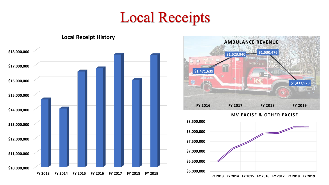## **Local Receipts**





#### **MV EXCISE & OTHER EXCISE**



**FY 2013 FY 2014 FY 2015 FY 2016 FY 2017 FY 2018 FY 2019**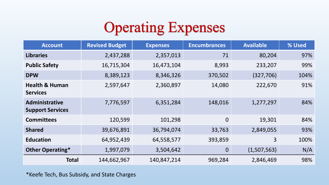# **Operating Expenses**

| <b>Account</b>                               | <b>Revised Budget</b> | <b>Expenses</b> | <b>Encumbrances</b> | <b>Available</b> | % Used |
|----------------------------------------------|-----------------------|-----------------|---------------------|------------------|--------|
| <b>Libraries</b>                             | 2,437,288             | 2,357,013       | 71                  | 80,204           | 97%    |
| <b>Public Safety</b>                         | 16,715,304            | 16,473,104      | 8,993               | 233,207          | 99%    |
| <b>DPW</b>                                   | 8,389,123             | 8,346,326       | 370,502             | (327, 706)       | 104%   |
| <b>Health &amp; Human</b><br><b>Services</b> | 2,597,647             | 2,360,897       | 14,080              | 222,670          | 91%    |
| Administrative<br><b>Support Services</b>    | 7,776,597             | 6,351,284       | 148,016             | 1,277,297        | 84%    |
| <b>Committees</b>                            | 120,599               | 101,298         | $\overline{0}$      | 19,301           | 84%    |
| <b>Shared</b>                                | 39,676,891            | 36,794,074      | 33,763              | 2,849,055        | 93%    |
| <b>Education</b>                             | 64,952,439            | 64,558,577      | 393,859             | 3                | 100%   |
| Other Operating*                             | 1,997,079             | 3,504,642       | $\overline{0}$      | (1,507,563)      | N/A    |
| <b>Total</b>                                 | 144,662,967           | 140,847,214     | 969,284             | 2,846,469        | 98%    |

\*Keefe Tech, Bus Subsidy, and State Charges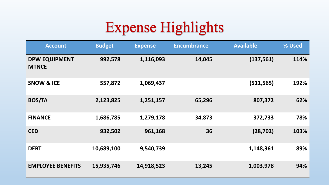# **Expense Highlights**

| <b>Account</b>                       | <b>Budget</b> | <b>Expense</b> | <b>Encumbrance</b> | <b>Available</b> | % Used |
|--------------------------------------|---------------|----------------|--------------------|------------------|--------|
| <b>DPW EQUIPMENT</b><br><b>MTNCE</b> | 992,578       | 1,116,093      | 14,045             | (137, 561)       | 114%   |
| <b>SNOW &amp; ICE</b>                | 557,872       | 1,069,437      |                    | (511, 565)       | 192%   |
| <b>BOS/TA</b>                        | 2,123,825     | 1,251,157      | 65,296             | 807,372          | 62%    |
| <b>FINANCE</b>                       | 1,686,785     | 1,279,178      | 34,873             | 372,733          | 78%    |
| <b>CED</b>                           | 932,502       | 961,168        | 36                 | (28, 702)        | 103%   |
| <b>DEBT</b>                          | 10,689,100    | 9,540,739      |                    | 1,148,361        | 89%    |
| <b>EMPLOYEE BENEFITS</b>             | 15,935,746    | 14,918,523     | 13,245             | 1,003,978        | 94%    |